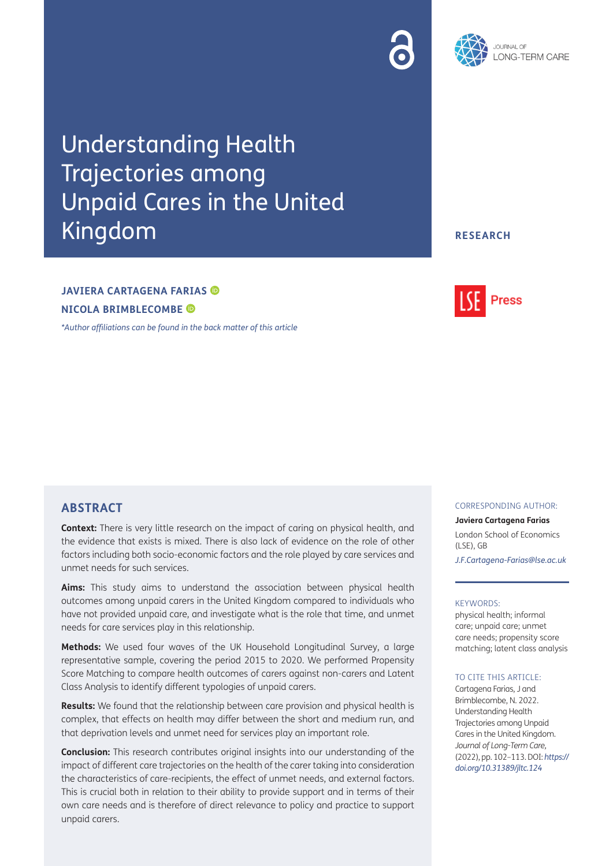# Understanding Health Trajectories among Unpaid Cares in the United Kingdom

# **JAVIERA CARTAGENA FARIAS NICOLA BRIMBLECOMBE**

*[\\*Author affiliations can be found in the back matter of this article](#page-9-0)*

# **ABSTRACT**

**Context:** There is very little research on the impact of caring on physical health, and the evidence that exists is mixed. There is also lack of evidence on the role of other factors including both socio-economic factors and the role played by care services and unmet needs for such services.

**Aims:** This study aims to understand the association between physical health outcomes among unpaid carers in the United Kingdom compared to individuals who have not provided unpaid care, and investigate what is the role that time, and unmet needs for care services play in this relationship.

**Methods:** We used four waves of the UK Household Longitudinal Survey, a large representative sample, covering the period 2015 to 2020. We performed Propensity Score Matching to compare health outcomes of carers against non-carers and Latent Class Analysis to identify different typologies of unpaid carers.

**Results:** We found that the relationship between care provision and physical health is complex, that effects on health may differ between the short and medium run, and that deprivation levels and unmet need for services play an important role.

**Conclusion:** This research contributes original insights into our understanding of the impact of different care trajectories on the health of the carer taking into consideration the characteristics of care-recipients, the effect of unmet needs, and external factors. This is crucial both in relation to their ability to provide support and in terms of their own care needs and is therefore of direct relevance to policy and practice to support unpaid carers.

CORRESPONDING AUTHOR:

**Javiera Cartagena Farias** London School of Economics (LSE), GB *[J.F.Cartagena-Farias@lse.ac.uk](mailto:J.F.Cartagena-Farias@lse.ac.uk)*

#### KEYWORDS:

physical health; informal care; unpaid care; unmet care needs; propensity score matching; latent class analysis

#### TO CITE THIS ARTICLE:

Cartagena Farias, J and Brimblecombe, N. 2022. Understanding Health Trajectories among Unpaid Cares in the United Kingdom. *Journal of Long-Term Care,* (2022), pp. 102–113. DOI: *[https://](https://doi.org/10.31389/jltc.124) [doi.org/10.31389/jltc.124](https://doi.org/10.31389/jltc.124)*





# **RESEARCH**

**Press**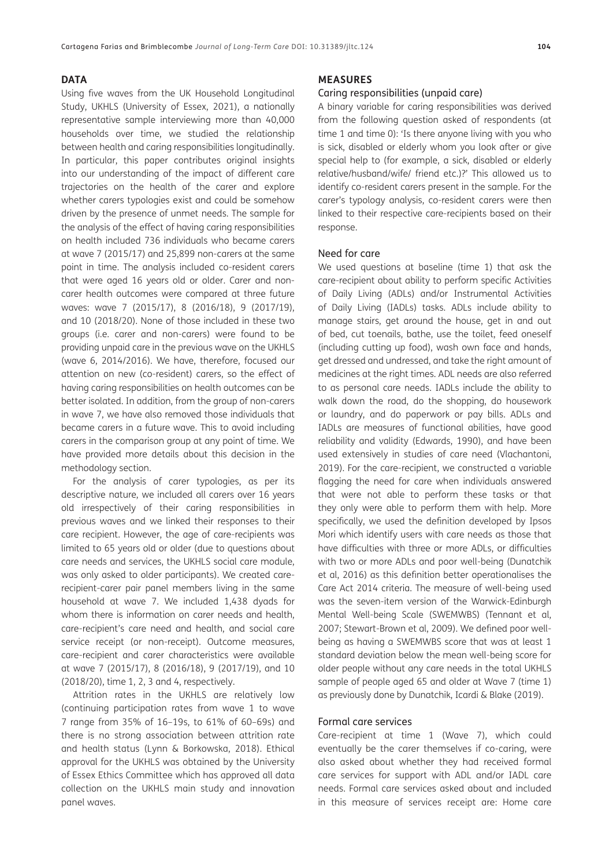## **DATA**

Using five waves from the UK Household Longitudinal Study, UKHLS [\(University of Essex, 2021\)](#page-11-0), a nationally representative sample interviewing more than 40,000 households over time, we studied the relationship between health and caring responsibilities longitudinally. In particular, this paper contributes original insights into our understanding of the impact of different care trajectories on the health of the carer and explore whether carers typologies exist and could be somehow driven by the presence of unmet needs. The sample for the analysis of the effect of having caring responsibilities on health included 736 individuals who became carers at wave 7 (2015/17) and 25,899 non-carers at the same point in time. The analysis included co-resident carers that were aged 16 years old or older. Carer and noncarer health outcomes were compared at three future waves: wave 7 (2015/17), 8 (2016/18), 9 (2017/19), and 10 (2018/20). None of those included in these two groups (i.e. carer and non-carers) were found to be providing unpaid care in the previous wave on the UKHLS (wave 6, 2014/2016). We have, therefore, focused our attention on new (co-resident) carers, so the effect of having caring responsibilities on health outcomes can be better isolated. In addition, from the group of non-carers in wave 7, we have also removed those individuals that became carers in a future wave. This to avoid including carers in the comparison group at any point of time. We have provided more details about this decision in the methodology section.

For the analysis of carer typologies, as per its descriptive nature, we included all carers over 16 years old irrespectively of their caring responsibilities in previous waves and we linked their responses to their care recipient. However, the age of care-recipients was limited to 65 years old or older (due to questions about care needs and services, the UKHLS social care module, was only asked to older participants). We created carerecipient-carer pair panel members living in the same household at wave 7. We included 1,438 dyads for whom there is information on carer needs and health, care-recipient's care need and health, and social care service receipt (or non-receipt). Outcome measures, care-recipient and carer characteristics were available at wave 7 (2015/17), 8 (2016/18), 9 (2017/19), and 10 (2018/20), time 1, 2, 3 and 4, respectively.

Attrition rates in the UKHLS are relatively low (continuing participation rates from wave 1 to wave 7 range from 35% of 16–19s, to 61% of 60–69s) and there is no strong association between attrition rate and health status [\(Lynn & Borkowska, 2018](#page-10-0)). Ethical approval for the UKHLS was obtained by the University of Essex Ethics Committee which has approved all data collection on the UKHLS main study and innovation panel waves.

#### **MEASURES**

#### Caring responsibilities (unpaid care)

A binary variable for caring responsibilities was derived from the following question asked of respondents (at time 1 and time 0): 'Is there anyone living with you who is sick, disabled or elderly whom you look after or give special help to (for example, a sick, disabled or elderly relative/husband/wife/ friend etc.)?' This allowed us to identify co-resident carers present in the sample. For the carer's typology analysis, co-resident carers were then linked to their respective care-recipients based on their response.

#### Need for care

We used questions at baseline (time 1) that ask the care-recipient about ability to perform specific Activities of Daily Living (ADLs) and/or Instrumental Activities of Daily Living (IADLs) tasks. ADLs include ability to manage stairs, get around the house, get in and out of bed, cut toenails, bathe, use the toilet, feed oneself (including cutting up food), wash own face and hands, get dressed and undressed, and take the right amount of medicines at the right times. ADL needs are also referred to as personal care needs. IADLs include the ability to walk down the road, do the shopping, do housework or laundry, and do paperwork or pay bills. ADLs and IADLs are measures of functional abilities, have good reliability and validity ([Edwards, 1990](#page-10-1)), and have been used extensively in studies of care need ([Vlachantoni,](#page-11-1)  [2019\)](#page-11-1). For the care-recipient, we constructed a variable flagging the need for care when individuals answered that were not able to perform these tasks or that they only were able to perform them with help. More specifically, we used the definition developed by Ipsos Mori which identify users with care needs as those that have difficulties with three or more ADLs, or difficulties with two or more ADLs and poor well-being [\(Dunatchik](#page-10-2)  [et al, 2016\)](#page-10-2) as this definition better operationalises the Care Act 2014 criteria. The measure of well-being used was the seven-item version of the Warwick-Edinburgh Mental Well-being Scale (SWEMWBS) [\(Tennant et al,](#page-11-2)  [2007;](#page-11-2) [Stewart-Brown et al, 2009\)](#page-11-3). We defined poor wellbeing as having a SWEMWBS score that was at least 1 standard deviation below the mean well-being score for older people without any care needs in the total UKHLS sample of people aged 65 and older at Wave 7 (time 1) as previously done by Dunatchik, Icardi & Blake [\(2019\)](#page-10-3).

#### Formal care services

Care-recipient at time 1 (Wave 7), which could eventually be the carer themselves if co-caring, were also asked about whether they had received formal care services for support with ADL and/or IADL care needs. Formal care services asked about and included in this measure of services receipt are: Home care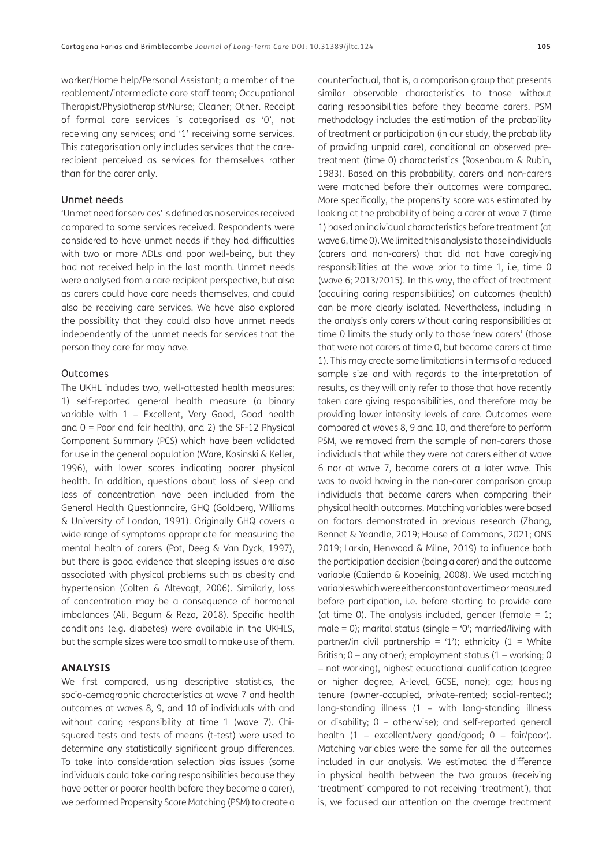worker/Home help/Personal Assistant; a member of the reablement/intermediate care staff team; Occupational Therapist/Physiotherapist/Nurse; Cleaner; Other. Receipt of formal care services is categorised as '0', not receiving any services; and '1' receiving some services. This categorisation only includes services that the carerecipient perceived as services for themselves rather than for the carer only.

## Unmet needs

'Unmet need for services' is defined as no services received compared to some services received. Respondents were considered to have unmet needs if they had difficulties with two or more ADLs and poor well-being, but they had not received help in the last month. Unmet needs were analysed from a care recipient perspective, but also as carers could have care needs themselves, and could also be receiving care services. We have also explored the possibility that they could also have unmet needs independently of the unmet needs for services that the person they care for may have.

#### Outcomes

The UKHL includes two, well-attested health measures: 1) self-reported general health measure (a binary variable with  $1 =$  Excellent, Very Good, Good health and 0 = Poor and fair health), and 2) the SF-12 Physical Component Summary (PCS) which have been validated for use in the general population [\(Ware, Kosinski & Keller,](#page-11-4) [1996](#page-11-4)), with lower scores indicating poorer physical health. In addition, questions about loss of sleep and loss of concentration have been included from the General Health Questionnaire, GHQ (Goldberg, Williams & University of London, 1991). Originally GHQ covers a wide range of symptoms appropriate for measuring the mental health of carers [\(Pot, Deeg & Van Dyck, 1997](#page-10-4)), but there is good evidence that sleeping issues are also associated with physical problems such as obesity and hypertension [\(Colten & Altevogt, 2006\)](#page-10-5). Similarly, loss of concentration may be a consequence of hormonal imbalances ([Ali, Begum & Reza, 2018](#page-9-1)). Specific health conditions (e.g. diabetes) were available in the UKHLS, but the sample sizes were too small to make use of them.

## **ANALYSIS**

We first compared, using descriptive statistics, the socio-demographic characteristics at wave 7 and health outcomes at waves 8, 9, and 10 of individuals with and without caring responsibility at time 1 (wave 7). Chisquared tests and tests of means (t-test) were used to determine any statistically significant group differences. To take into consideration selection bias issues (some individuals could take caring responsibilities because they have better or poorer health before they become a carer), we performed Propensity Score Matching (PSM) to create a

counterfactual, that is, a comparison group that presents similar observable characteristics to those without caring responsibilities before they became carers. PSM methodology includes the estimation of the probability of treatment or participation (in our study, the probability of providing unpaid care), conditional on observed pretreatment (time 0) characteristics ([Rosenbaum & Rubin,](#page-11-5)  [1983](#page-11-5)). Based on this probability, carers and non-carers were matched before their outcomes were compared. More specifically, the propensity score was estimated by looking at the probability of being a carer at wave 7 (time 1) based on individual characteristics before treatment (at wave 6, time 0). We limited this analysis to those individuals (carers and non-carers) that did not have caregiving responsibilities at the wave prior to time 1, i.e, time 0 (wave 6; 2013/2015). In this way, the effect of treatment (acquiring caring responsibilities) on outcomes (health) can be more clearly isolated. Nevertheless, including in the analysis only carers without caring responsibilities at time 0 limits the study only to those 'new carers' (those that were not carers at time 0, but became carers at time 1). This may create some limitations in terms of a reduced sample size and with regards to the interpretation of results, as they will only refer to those that have recently taken care giving responsibilities, and therefore may be providing lower intensity levels of care. Outcomes were compared at waves 8, 9 and 10, and therefore to perform PSM, we removed from the sample of non-carers those individuals that while they were not carers either at wave 6 nor at wave 7, became carers at a later wave. This was to avoid having in the non-carer comparison group individuals that became carers when comparing their physical health outcomes. Matching variables were based on factors demonstrated in previous research [\(Zhang,](#page-11-6)  [Bennet & Yeandle, 2019](#page-11-6); [House of Commons, 2021](#page-10-6); [ONS](#page-10-7)  [2019](#page-10-7); [Larkin, Henwood & Milne, 2019](#page-10-8)) to influence both the participation decision (being a carer) and the outcome variable [\(Caliendo & Kopeinig, 2008\)](#page-10-9). We used matching variables which were either constant over time or measured before participation, i.e. before starting to provide care (at time 0). The analysis included, gender (female  $= 1$ ; male = 0); marital status (single =  $'0'$ ; married/living with partner/in civil partnership = '1'); ethnicity (1 = White British;  $0 =$  any other); employment status (1 = working; 0 = not working), highest educational qualification (degree or higher degree, A-level, GCSE, none); age; housing tenure (owner-occupied, private-rented; social-rented); long-standing illness  $(1 = \text{with long-standing illness})$ or disability;  $0 =$  otherwise); and self-reported general health  $(1 = \text{excellent/very good/good}; 0 = \text{fair/poor}).$ Matching variables were the same for all the outcomes included in our analysis. We estimated the difference in physical health between the two groups (receiving 'treatment' compared to not receiving 'treatment'), that is, we focused our attention on the average treatment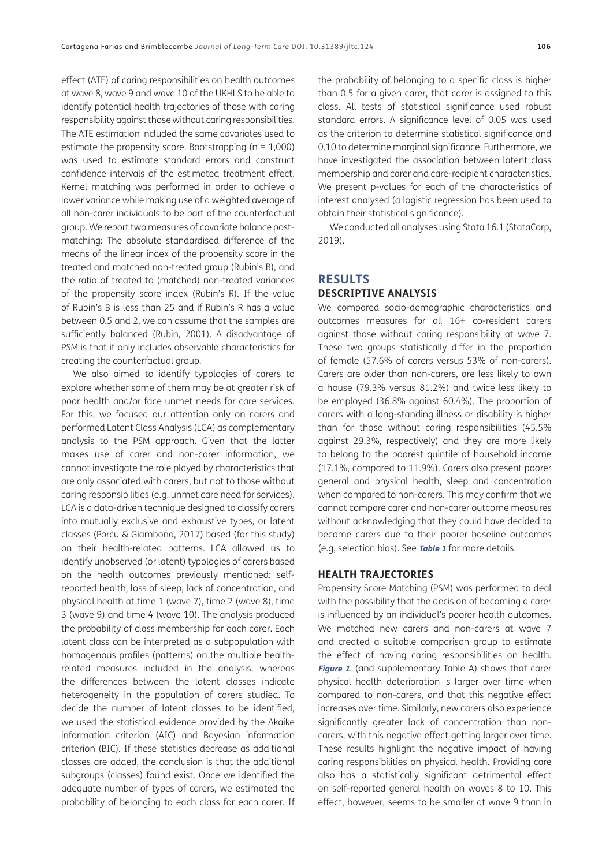effect (ATE) of caring responsibilities on health outcomes at wave 8, wave 9 and wave 10 of the UKHLS to be able to identify potential health trajectories of those with caring responsibility against those without caring responsibilities. The ATE estimation included the same covariates used to estimate the propensity score. Bootstrapping ( $n = 1,000$ ) was used to estimate standard errors and construct confidence intervals of the estimated treatment effect. Kernel matching was performed in order to achieve a lower variance while making use of a weighted average of all non-carer individuals to be part of the counterfactual group. We report two measures of covariate balance postmatching: The absolute standardised difference of the means of the linear index of the propensity score in the treated and matched non-treated group (Rubin's B), and the ratio of treated to (matched) non-treated variances of the propensity score index (Rubin's R). If the value of Rubin's B is less than 25 and if Rubin's R has a value between 0.5 and 2, we can assume that the samples are sufficiently balanced [\(Rubin, 2001](#page-11-7)). A disadvantage of PSM is that it only includes observable characteristics for creating the counterfactual group.

We also aimed to identify typologies of carers to explore whether some of them may be at greater risk of poor health and/or face unmet needs for care services. For this, we focused our attention only on carers and performed Latent Class Analysis (LCA) as complementary analysis to the PSM approach. Given that the latter makes use of carer and non-carer information, we cannot investigate the role played by characteristics that are only associated with carers, but not to those without caring responsibilities (e.g. unmet care need for services). LCA is a data-driven technique designed to classify carers into mutually exclusive and exhaustive types, or latent classes ([Porcu & Giambona, 2017](#page-10-10)) based (for this study) on their health-related patterns. LCA allowed us to identify unobserved (or latent) typologies of carers based on the health outcomes previously mentioned: selfreported health, loss of sleep, lack of concentration, and physical health at time 1 (wave 7), time 2 (wave 8), time 3 (wave 9) and time 4 (wave 10). The analysis produced the probability of class membership for each carer. Each latent class can be interpreted as a subpopulation with homogenous profiles (patterns) on the multiple healthrelated measures included in the analysis, whereas the differences between the latent classes indicate heterogeneity in the population of carers studied. To decide the number of latent classes to be identified, we used the statistical evidence provided by the Akaike information criterion (AIC) and Bayesian information criterion (BIC). If these statistics decrease as additional classes are added, the conclusion is that the additional subgroups (classes) found exist. Once we identified the adequate number of types of carers, we estimated the probability of belonging to each class for each carer. If

the probability of belonging to a specific class is higher than 0.5 for a given carer, that carer is assigned to this class. All tests of statistical significance used robust standard errors. A significance level of 0.05 was used as the criterion to determine statistical significance and 0.10 to determine marginal significance. Furthermore, we have investigated the association between latent class membership and carer and care-recipient characteristics. We present p-values for each of the characteristics of interest analysed (a logistic regression has been used to obtain their statistical significance).

We conducted all analyses using Stata 16.1 [\(StataCorp,](#page-11-8)  [2019\)](#page-11-8).

# **RESULTS**

# **DESCRIPTIVE ANALYSIS**

We compared socio-demographic characteristics and outcomes measures for all 16+ co-resident carers against those without caring responsibility at wave 7. These two groups statistically differ in the proportion of female (57.6% of carers versus 53% of non-carers). Carers are older than non-carers, are less likely to own a house (79.3% versus 81.2%) and twice less likely to be employed (36.8% against 60.4%). The proportion of carers with a long-standing illness or disability is higher than for those without caring responsibilities (45.5% against 29.3%, respectively) and they are more likely to belong to the poorest quintile of household income (17.1%, compared to 11.9%). Carers also present poorer general and physical health, sleep and concentration when compared to non-carers. This may confirm that we cannot compare carer and non-carer outcome measures without acknowledging that they could have decided to become carers due to their poorer baseline outcomes (e.g, selection bias). See **[Table 1](#page-5-0)** for more details.

### **HEALTH TRAJECTORIES**

Propensity Score Matching (PSM) was performed to deal with the possibility that the decision of becoming a carer is influenced by an individual's poorer health outcomes. We matched new carers and non-carers at wave 7 and created a suitable comparison group to estimate the effect of having caring responsibilities on health. **[Figure 1](#page-5-1)**. (and supplementary Table A) shows that carer physical health deterioration is larger over time when compared to non-carers, and that this negative effect increases over time. Similarly, new carers also experience significantly greater lack of concentration than noncarers, with this negative effect getting larger over time. These results highlight the negative impact of having caring responsibilities on physical health. Providing care also has a statistically significant detrimental effect on self-reported general health on waves 8 to 10. This effect, however, seems to be smaller at wave 9 than in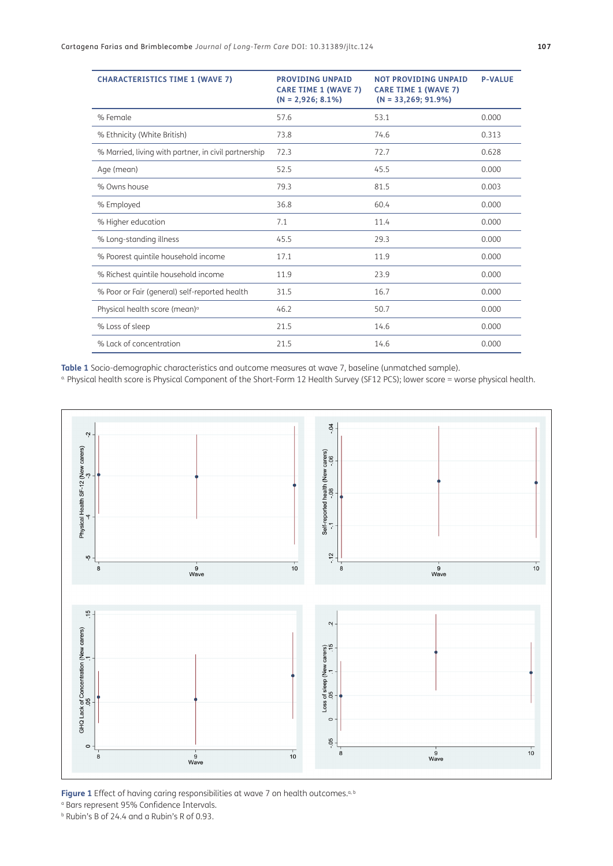| <b>CHARACTERISTICS TIME 1 (WAVE 7)</b>               | <b>PROVIDING UNPAID</b><br><b>CARE TIME 1 (WAVE 7)</b><br>$(N = 2,926; 8.1\%)$ | <b>NOT PROVIDING UNPAID</b><br><b>CARE TIME 1 (WAVE 7)</b><br>$(N = 33,269; 91.9\%)$ | <b>P-VALUE</b> |
|------------------------------------------------------|--------------------------------------------------------------------------------|--------------------------------------------------------------------------------------|----------------|
| % Female                                             | 57.6                                                                           | 53.1                                                                                 | 0.000          |
| % Ethnicity (White British)                          | 73.8                                                                           | 74.6                                                                                 | 0.313          |
| % Married, living with partner, in civil partnership | 72.3                                                                           | 72.7                                                                                 | 0.628          |
| Age (mean)                                           | 52.5                                                                           | 45.5                                                                                 | 0.000          |
| % Owns house                                         | 79.3                                                                           | 81.5                                                                                 | 0.003          |
| % Employed                                           | 36.8                                                                           | 60.4                                                                                 | 0.000          |
| % Higher education                                   | 7.1                                                                            | 11.4                                                                                 | 0.000          |
| % Long-standing illness                              | 45.5                                                                           | 29.3                                                                                 | 0.000          |
| % Poorest quintile household income                  | 17.1                                                                           | 11.9                                                                                 | 0.000          |
| % Richest quintile household income                  | 11.9                                                                           | 23.9                                                                                 | 0.000          |
| % Poor or Fair (general) self-reported health        | 31.5                                                                           | 16.7                                                                                 | 0.000          |
| Physical health score (mean) <sup>a</sup>            | 46.2                                                                           | 50.7                                                                                 | 0.000          |
| % Loss of sleep                                      | 21.5                                                                           | 14.6                                                                                 | 0.000          |
| % Lack of concentration                              | 21.5                                                                           | 14.6                                                                                 | 0.000          |

<span id="page-5-0"></span>**Table 1** Socio-demographic characteristics and outcome measures at wave 7, baseline (unmatched sample).

a. Physical health score is Physical Component of the Short-Form 12 Health Survey (SF12 PCS); lower score = worse physical health.



<span id="page-5-1"></span>Figure 1 Effect of having caring responsibilities at wave 7 on health outcomes.<sup>a, b</sup>

a Bars represent 95% Confidence Intervals.

b Rubin's B of 24.4 and a Rubin's R of 0.93.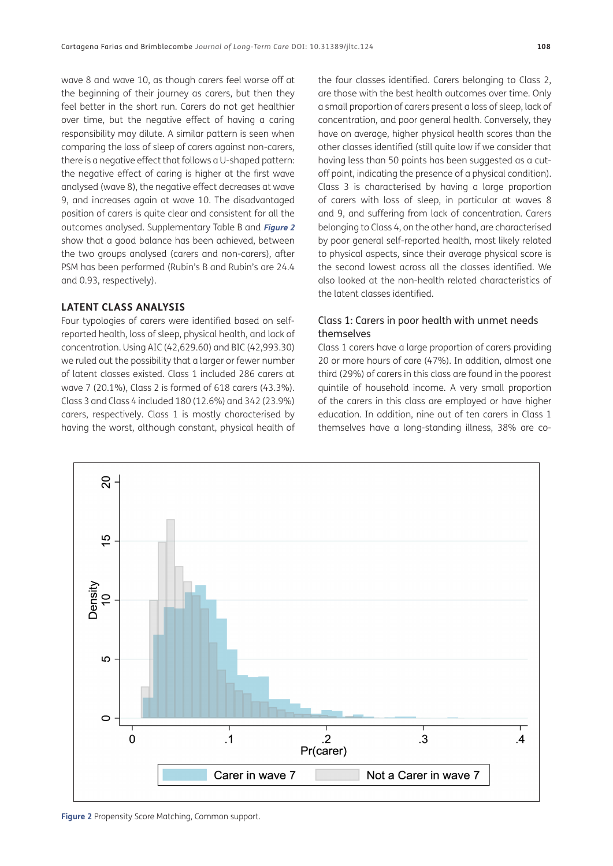wave 8 and wave 10, as though carers feel worse off at the beginning of their journey as carers, but then they feel better in the short run. Carers do not get healthier over time, but the negative effect of having a caring responsibility may dilute. A similar pattern is seen when comparing the loss of sleep of carers against non-carers, there is a negative effect that follows a U-shaped pattern: the negative effect of caring is higher at the first wave analysed (wave 8), the negative effect decreases at wave 9, and increases again at wave 10. The disadvantaged position of carers is quite clear and consistent for all the outcomes analysed. Supplementary Table B and **[Figure 2](#page-6-0)** show that a good balance has been achieved, between the two groups analysed (carers and non-carers), after PSM has been performed (Rubin's B and Rubin's are 24.4 and 0.93, respectively).

## **LATENT CLASS ANALYSIS**

Four typologies of carers were identified based on selfreported health, loss of sleep, physical health, and lack of concentration. Using AIC (42,629.60) and BIC (42,993.30) we ruled out the possibility that a larger or fewer number of latent classes existed. Class 1 included 286 carers at wave 7 (20.1%), Class 2 is formed of 618 carers (43.3%). Class 3 and Class 4 included 180 (12.6%) and 342 (23.9%) carers, respectively. Class 1 is mostly characterised by having the worst, although constant, physical health of

the four classes identified. Carers belonging to Class 2, are those with the best health outcomes over time. Only a small proportion of carers present a loss of sleep, lack of concentration, and poor general health. Conversely, they have on average, higher physical health scores than the other classes identified (still quite low if we consider that having less than 50 points has been suggested as a cutoff point, indicating the presence of a physical condition). Class 3 is characterised by having a large proportion of carers with loss of sleep, in particular at waves 8 and 9, and suffering from lack of concentration. Carers belonging to Class 4, on the other hand, are characterised by poor general self-reported health, most likely related to physical aspects, since their average physical score is the second lowest across all the classes identified. We also looked at the non-health related characteristics of the latent classes identified.

# Class 1: Carers in poor health with unmet needs themselves

Class 1 carers have a large proportion of carers providing 20 or more hours of care (47%). In addition, almost one third (29%) of carers in this class are found in the poorest quintile of household income. A very small proportion of the carers in this class are employed or have higher education. In addition, nine out of ten carers in Class 1 themselves have a long-standing illness, 38% are co-

<span id="page-6-0"></span>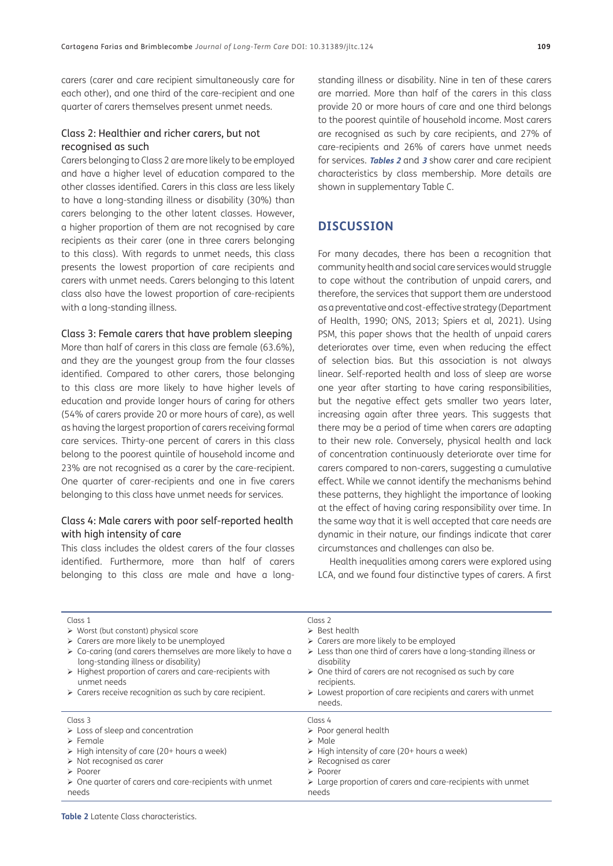carers (carer and care recipient simultaneously care for each other), and one third of the care-recipient and one quarter of carers themselves present unmet needs.

# Class 2: Healthier and richer carers, but not recognised as such

Carers belonging to Class 2 are more likely to be employed and have a higher level of education compared to the other classes identified. Carers in this class are less likely to have a long-standing illness or disability (30%) than carers belonging to the other latent classes. However, a higher proportion of them are not recognised by care recipients as their carer (one in three carers belonging to this class). With regards to unmet needs, this class presents the lowest proportion of care recipients and carers with unmet needs. Carers belonging to this latent class also have the lowest proportion of care-recipients with a long-standing illness.

#### Class 3: Female carers that have problem sleeping

More than half of carers in this class are female (63.6%), and they are the youngest group from the four classes identified. Compared to other carers, those belonging to this class are more likely to have higher levels of education and provide longer hours of caring for others (54% of carers provide 20 or more hours of care), as well as having the largest proportion of carers receiving formal care services. Thirty-one percent of carers in this class belong to the poorest quintile of household income and 23% are not recognised as a carer by the care-recipient. One quarter of carer-recipients and one in five carers belonging to this class have unmet needs for services.

# Class 4: Male carers with poor self-reported health with high intensity of care

This class includes the oldest carers of the four classes identified. Furthermore, more than half of carers belonging to this class are male and have a longstanding illness or disability. Nine in ten of these carers are married. More than half of the carers in this class provide 20 or more hours of care and one third belongs to the poorest quintile of household income. Most carers are recognised as such by care recipients, and 27% of care-recipients and 26% of carers have unmet needs for services. **[Tables 2](#page-7-0)** and **[3](#page-8-0)** show carer and care recipient characteristics by class membership. More details are shown in supplementary Table C.

# **DISCUSSION**

For many decades, there has been a recognition that community health and social care services would struggle to cope without the contribution of unpaid carers, and therefore, the services that support them are understood as a preventative and cost-effective strategy ([Department](#page-10-11)  [of Health, 1990](#page-10-11); [ONS, 2013](#page-10-12); [Spiers et al, 2021](#page-11-9)). Using PSM, this paper shows that the health of unpaid carers deteriorates over time, even when reducing the effect of selection bias. But this association is not always linear. Self-reported health and loss of sleep are worse one year after starting to have caring responsibilities, but the negative effect gets smaller two years later. increasing again after three years. This suggests that there may be a period of time when carers are adapting to their new role. Conversely, physical health and lack of concentration continuously deteriorate over time for carers compared to non-carers, suggesting a cumulative effect. While we cannot identify the mechanisms behind these patterns, they highlight the importance of looking at the effect of having caring responsibility over time. In the same way that it is well accepted that care needs are dynamic in their nature, our findings indicate that carer circumstances and challenges can also be.

Health inequalities among carers were explored using LCA, and we found four distinctive types of carers. A first

| Class 1<br>$\triangleright$ Worst (but constant) physical score<br>> Carers are more likely to be unemployed<br>$\triangleright$ Co-caring (and carers themselves are more likely to have a<br>long-standing illness or disability)<br>$\triangleright$ Highest proportion of carers and care-recipients with<br>unmet needs<br>$\triangleright$ Carers receive recognition as such by care recipient. | Class 2<br>$\triangleright$ Best health<br>$\triangleright$ Carers are more likely to be employed<br>$\triangleright$ Less than one third of carers have a long-standing illness or<br>disability<br>$\triangleright$ One third of carers are not recognised as such by care<br>recipients.<br>$\triangleright$ Lowest proportion of care recipients and carers with unmet<br>needs. |
|--------------------------------------------------------------------------------------------------------------------------------------------------------------------------------------------------------------------------------------------------------------------------------------------------------------------------------------------------------------------------------------------------------|--------------------------------------------------------------------------------------------------------------------------------------------------------------------------------------------------------------------------------------------------------------------------------------------------------------------------------------------------------------------------------------|
| Class 3                                                                                                                                                                                                                                                                                                                                                                                                | Class 4                                                                                                                                                                                                                                                                                                                                                                              |
| $\triangleright$ Loss of sleep and concentration                                                                                                                                                                                                                                                                                                                                                       | $\triangleright$ Poor general health                                                                                                                                                                                                                                                                                                                                                 |
| $\triangleright$ Female                                                                                                                                                                                                                                                                                                                                                                                | $\triangleright$ Male                                                                                                                                                                                                                                                                                                                                                                |
| $\triangleright$ High intensity of care (20+ hours a week)                                                                                                                                                                                                                                                                                                                                             | $\triangleright$ High intensity of care (20+ hours a week)                                                                                                                                                                                                                                                                                                                           |
| $\triangleright$ Not recognised as carer                                                                                                                                                                                                                                                                                                                                                               | $\triangleright$ Recognised as carer                                                                                                                                                                                                                                                                                                                                                 |
| $\triangleright$ Poorer                                                                                                                                                                                                                                                                                                                                                                                | $\triangleright$ Poorer                                                                                                                                                                                                                                                                                                                                                              |
| $\triangleright$ One quarter of carers and care-recipients with unmet                                                                                                                                                                                                                                                                                                                                  | $\triangleright$ Large proportion of carers and care-recipients with unmet                                                                                                                                                                                                                                                                                                           |
| needs                                                                                                                                                                                                                                                                                                                                                                                                  | needs                                                                                                                                                                                                                                                                                                                                                                                |

<span id="page-7-0"></span>**Table 2** Latente Class characteristics.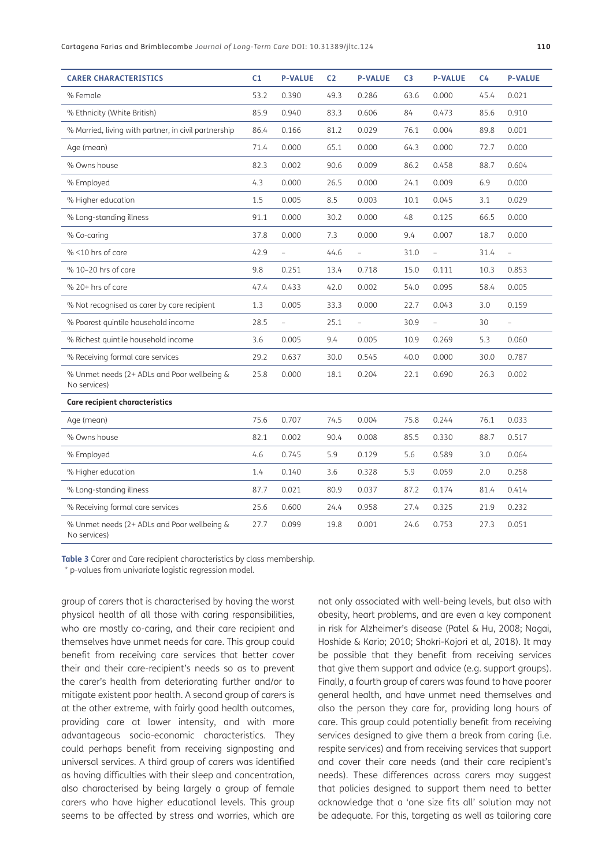Cartagena Farias and Brimblecombe *Journal of Long-Term Care* DOI: 10.31389/jltc.124 **110**

| <b>CARER CHARACTERISTICS</b>                                | C <sub>1</sub> | <b>P-VALUE</b> | C <sub>2</sub> | <b>P-VALUE</b> | C <sub>3</sub> | <b>P-VALUE</b> | C <sub>4</sub> | <b>P-VALUE</b> |
|-------------------------------------------------------------|----------------|----------------|----------------|----------------|----------------|----------------|----------------|----------------|
| % Female                                                    | 53.2           | 0.390          | 49.3           | 0.286          | 63.6           | 0.000          | 45.4           | 0.021          |
| % Ethnicity (White British)                                 | 85.9           | 0.940          | 83.3           | 0.606          | 84             | 0.473          | 85.6           | 0.910          |
| % Married, living with partner, in civil partnership        | 86.4           | 0.166          | 81.2           | 0.029          | 76.1           | 0.004          | 89.8           | 0.001          |
| Age (mean)                                                  | 71.4           | 0.000          | 65.1           | 0.000          | 64.3           | 0.000          | 72.7           | 0.000          |
| % Owns house                                                | 82.3           | 0.002          | 90.6           | 0.009          | 86.2           | 0.458          | 88.7           | 0.604          |
| % Employed                                                  | 4.3            | 0.000          | 26.5           | 0.000          | 24.1           | 0.009          | 6.9            | 0.000          |
| % Higher education                                          | 1.5            | 0.005          | 8.5            | 0.003          | 10.1           | 0.045          | 3.1            | 0.029          |
| % Long-standing illness                                     | 91.1           | 0.000          | 30.2           | 0.000          | 48             | 0.125          | 66.5           | 0.000          |
| % Co-caring                                                 | 37.8           | 0.000          | 7.3            | 0.000          | 9.4            | 0.007          | 18.7           | 0.000          |
| % <10 hrs of care                                           | 42.9           |                | 44.6           | $\overline{a}$ | 31.0           | $\overline{a}$ | 31.4           |                |
| % 10-20 hrs of care                                         | 9.8            | 0.251          | 13.4           | 0.718          | 15.0           | 0.111          | 10.3           | 0.853          |
| $% 20+ hrs of care$                                         | 47.4           | 0.433          | 42.0           | 0.002          | 54.0           | 0.095          | 58.4           | 0.005          |
| % Not recognised as carer by care recipient                 | 1.3            | 0.005          | 33.3           | 0.000          | 22.7           | 0.043          | 3.0            | 0.159          |
| % Poorest quintile household income                         | 28.5           |                | 25.1           | $\overline{a}$ | 30.9           | $\equiv$       | 30             | $\overline{a}$ |
| % Richest quintile household income                         | 3.6            | 0.005          | 9.4            | 0.005          | 10.9           | 0.269          | 5.3            | 0.060          |
| % Receiving formal care services                            | 29.2           | 0.637          | 30.0           | 0.545          | 40.0           | 0.000          | 30.0           | 0.787          |
| % Unmet needs (2+ ADLs and Poor wellbeing &<br>No services) | 25.8           | 0.000          | 18.1           | 0.204          | 22.1           | 0.690          | 26.3           | 0.002          |
| <b>Care recipient characteristics</b>                       |                |                |                |                |                |                |                |                |
| Age (mean)                                                  | 75.6           | 0.707          | 74.5           | 0.004          | 75.8           | 0.244          | 76.1           | 0.033          |
| % Owns house                                                | 82.1           | 0.002          | 90.4           | 0.008          | 85.5           | 0.330          | 88.7           | 0.517          |
| % Employed                                                  | 4.6            | 0.745          | 5.9            | 0.129          | 5.6            | 0.589          | 3.0            | 0.064          |
| % Higher education                                          | 1.4            | 0.140          | 3.6            | 0.328          | 5.9            | 0.059          | 2.0            | 0.258          |
| % Long-standing illness                                     | 87.7           | 0.021          | 80.9           | 0.037          | 87.2           | 0.174          | 81.4           | 0.414          |
| % Receiving formal care services                            | 25.6           | 0.600          | 24.4           | 0.958          | 27.4           | 0.325          | 21.9           | 0.232          |
| % Unmet needs (2+ ADLs and Poor wellbeing &<br>No services) | 27.7           | 0.099          | 19.8           | 0.001          | 24.6           | 0.753          | 27.3           | 0.051          |

<span id="page-8-0"></span>**Table 3** Carer and Care recipient characteristics by class membership.

\* p-values from univariate logistic regression model.

group of carers that is characterised by having the worst physical health of all those with caring responsibilities, who are mostly co-caring, and their care recipient and themselves have unmet needs for care. This group could benefit from receiving care services that better cover their and their care-recipient's needs so as to prevent the carer's health from deteriorating further and/or to mitigate existent poor health. A second group of carers is at the other extreme, with fairly good health outcomes, providing care at lower intensity, and with more advantageous socio-economic characteristics. They could perhaps benefit from receiving signposting and universal services. A third group of carers was identified as having difficulties with their sleep and concentration, also characterised by being largely a group of female carers who have higher educational levels. This group seems to be affected by stress and worries, which are not only associated with well-being levels, but also with obesity, heart problems, and are even a key component in risk for Alzheimer's disease ([Patel & Hu, 2008](#page-10-13); [Nagai,](#page-10-14)  [Hoshide & Kario; 2010](#page-10-14); [Shokri-Kojori et al, 2018\)](#page-11-10). It may be possible that they benefit from receiving services that give them support and advice (e.g. support groups). Finally, a fourth group of carers was found to have poorer general health, and have unmet need themselves and also the person they care for, providing long hours of care. This group could potentially benefit from receiving services designed to give them a break from caring (i.e. respite services) and from receiving services that support and cover their care needs (and their care recipient's needs). These differences across carers may suggest that policies designed to support them need to better acknowledge that a 'one size fits all' solution may not be adequate. For this, targeting as well as tailoring care